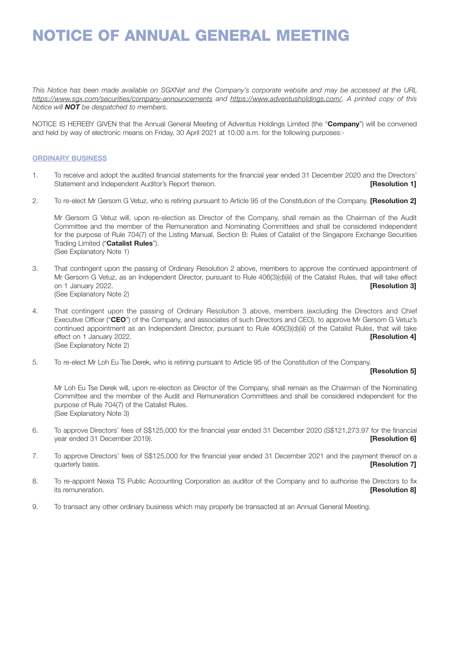*This Notice has been made available on SGXNet and the Company's corporate website and may be accessed at the URL https://www.sgx.com/securities/company-announcements and https://www.adventusholdings.com/. A printed copy of this Notice will NOT be despatched to members.*

NOTICE IS HEREBY GIVEN that the Annual General Meeting of Adventus Holdings Limited (the "Company") will be convened and held by way of electronic means on Friday, 30 April 2021 at 10.00 a.m. for the following purposes:-

# ORDINARY BUSINESS

- 1. To receive and adopt the audited financial statements for the financial year ended 31 December 2020 and the Directors' Statement and Independent Auditor's Report thereon. **Example 20 and Statement and Independent Auditor's Report thereon. [Resolution 1]**
- 2. To re-elect Mr Gersom G Vetuz, who is retiring pursuant to Article 95 of the Constitution of the Company. **[Resolution 2]**

Mr Gersom G Vetuz will, upon re-election as Director of the Company, shall remain as the Chairman of the Audit Committee and the member of the Remuneration and Nominating Committees and shall be considered independent for the purpose of Rule 704(7) of the Listing Manual, Section B: Rules of Catalist of the Singapore Exchange Securities Trading Limited ("Catalist Rules"). (See Explanatory Note 1)

- 3. That contingent upon the passing of Ordinary Resolution 2 above, members to approve the continued appointment of Mr Gersom G Vetuz, as an Independent Director, pursuant to Rule 406(3)(d)(iii) of the Catalist Rules, that will take effect on 1 January 2022. **[Resolution 3] [Resolution 3]** (See Explanatory Note 2)
- 4. That contingent upon the passing of Ordinary Resolution 3 above, members (excluding the Directors and Chief Executive Officer ("CEO") of the Company, and associates of such Directors and CEO), to approve Mr Gersom G Vetuz's continued appointment as an Independent Director, pursuant to Rule 406(3)(d)(iii) of the Catalist Rules, that will take effect on 1 January 2022. **Example 2018 FResolution 41** (See Explanatory Note 2)
- 5. To re-elect Mr Loh Eu Tse Derek, who is retiring pursuant to Article 95 of the Constitution of the Company.

# [Resolution 5]

Mr Loh Eu Tse Derek will, upon re-election as Director of the Company, shall remain as the Chairman of the Nominating Committee and the member of the Audit and Remuneration Committees and shall be considered independent for the purpose of Rule 704(7) of the Catalist Rules. (See Explanatory Note 3)

- 6. To approve Directors' fees of S\$125,000 for the financial year ended 31 December 2020 (S\$121,273.97 for the financial vear ended 31 December 2019). **[Resolution 6] [Resolution 6]**
- 7. To approve Directors' fees of S\$125,000 for the financial year ended 31 December 2021 and the payment thereof on a quarterly basis. **Example 20 CONSTRUCTER CONSTRUCTER CONSTRUCTER CONSTRUCTER CONSTRUCTER CONSTRUCTER CONSTRUCTER**
- 8. To re-appoint Nexia TS Public Accounting Corporation as auditor of the Company and to authorise the Directors to fix **its remuneration. Example 20 CONSUMING 20 ACCOUNT 20 ACCOUNT 20 ACCOUNT 20 ACCOUNT 20 ACCOUNT 20 ACCOUNT 20 ACCOUNT 20 ACCOUNT 20 ACCOUNT 20 ACCOUNT 20 ACCOUNT 20 ACCOUNT 20 ACCOUNT 20 ACCOUNT 20 ACCOUNT 20 ACCOUNT 20**
- 9. To transact any other ordinary business which may properly be transacted at an Annual General Meeting.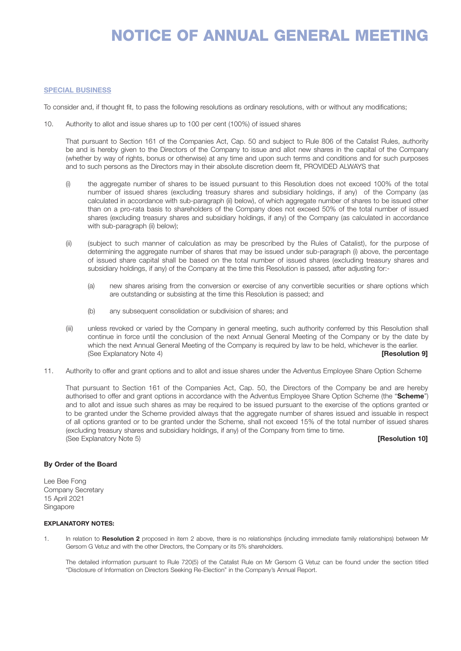### SPECIAL BUSINESS

To consider and, if thought fit, to pass the following resolutions as ordinary resolutions, with or without any modifications;

10. Authority to allot and issue shares up to 100 per cent (100%) of issued shares

That pursuant to Section 161 of the Companies Act, Cap. 50 and subject to Rule 806 of the Catalist Rules, authority be and is hereby given to the Directors of the Company to issue and allot new shares in the capital of the Company (whether by way of rights, bonus or otherwise) at any time and upon such terms and conditions and for such purposes and to such persons as the Directors may in their absolute discretion deem fit, PROVIDED ALWAYS that

- (i) the aggregate number of shares to be issued pursuant to this Resolution does not exceed 100% of the total number of issued shares (excluding treasury shares and subsidiary holdings, if any) of the Company (as calculated in accordance with sub-paragraph (ii) below), of which aggregate number of shares to be issued other than on a pro-rata basis to shareholders of the Company does not exceed 50% of the total number of issued shares (excluding treasury shares and subsidiary holdings, if any) of the Company (as calculated in accordance with sub-paragraph (ii) below);
- (ii) (subject to such manner of calculation as may be prescribed by the Rules of Catalist), for the purpose of determining the aggregate number of shares that may be issued under sub-paragraph (i) above, the percentage of issued share capital shall be based on the total number of issued shares (excluding treasury shares and subsidiary holdings, if any) of the Company at the time this Resolution is passed, after adjusting for:-
	- (a) new shares arising from the conversion or exercise of any convertible securities or share options which are outstanding or subsisting at the time this Resolution is passed; and
	- (b) any subsequent consolidation or subdivision of shares; and
- (iii) unless revoked or varied by the Company in general meeting, such authority conferred by this Resolution shall continue in force until the conclusion of the next Annual General Meeting of the Company or by the date by which the next Annual General Meeting of the Company is required by law to be held, whichever is the earlier. (See Explanatory Note 4) **[Resolution 9] [Resolution 9]**
- 11. Authority to offer and grant options and to allot and issue shares under the Adventus Employee Share Option Scheme

That pursuant to Section 161 of the Companies Act, Cap. 50, the Directors of the Company be and are hereby authorised to offer and grant options in accordance with the Adventus Employee Share Option Scheme (the "Scheme") and to allot and issue such shares as may be required to be issued pursuant to the exercise of the options granted or to be granted under the Scheme provided always that the aggregate number of shares issued and issuable in respect of all options granted or to be granted under the Scheme, shall not exceed 15% of the total number of issued shares (excluding treasury shares and subsidiary holdings, if any) of the Company from time to time. (See Explanatory Note 5) **Explored Explanatory Note 5** and the set of the set of the set of the set of the set of the set of the set of the set of the set of the set of the set of the set of the set of the set of the set o

### By Order of the Board

Lee Bee Fong Company Secretary 15 April 2021 Singapore

### EXPLANATORY NOTES:

1. In relation to **Resolution 2** proposed in item 2 above, there is no relationships (including immediate family relationships) between Mr. Gersom G Vetuz and with the other Directors, the Company or its 5% shareholders.

The detailed information pursuant to Rule 720(5) of the Catalist Rule on Mr Gersom G Vetuz can be found under the section titled "Disclosure of Information on Directors Seeking Re-Election" in the Company's Annual Report.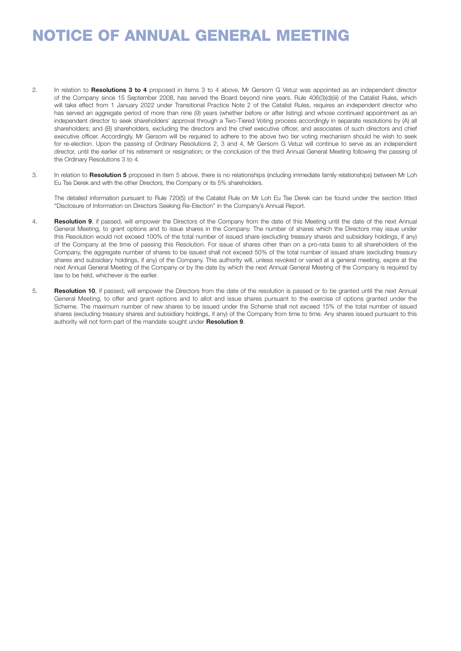- 2. In relation to **Resolutions 3 to 4** proposed in items 3 to 4 above, Mr Gersom G Vetuz was appointed as an independent director of the Company since 15 September 2008, has served the Board beyond nine years. Rule 406(3)(d)(iii) of the Catalist Rules, which will take effect from 1 January 2022 under Transitional Practice Note 2 of the Catalist Rules, requires an independent director who has served an aggregate period of more than nine (9) years (whether before or after listing) and whose continued appointment as an independent director to seek shareholders' approval through a Two-Tiered Voting process accordingly in separate resolutions by (A) all shareholders; and (B) shareholders, excluding the directors and the chief executive officer, and associates of such directors and chief executive officer. Accordingly, Mr Gersom will be required to adhere to the above two tier voting mechanism should he wish to seek for re-election. Upon the passing of Ordinary Resolutions 2, 3 and 4, Mr Gersom G Vetuz will continue to serve as an independent director, until the earlier of his retirement or resignation; or the conclusion of the third Annual General Meeting following the passing of the Ordinary Resolutions 3 to 4.
- 3. In relation to **Resolution 5** proposed in item 5 above, there is no relationships (including immediate family relationships) between Mr Loh Eu Tse Derek and with the other Directors, the Company or its 5% shareholders.

The detailed information pursuant to Rule 720(5) of the Catalist Rule on Mr Loh Eu Tse Derek can be found under the section titled "Disclosure of Information on Directors Seeking Re-Election" in the Company's Annual Report.

- 4. Resolution 9, if passed, will empower the Directors of the Company from the date of this Meeting until the date of the next Annual General Meeting, to grant options and to issue shares in the Company. The number of shares which the Directors may issue under this Resolution would not exceed 100% of the total number of issued share (excluding treasury shares and subsidiary holdings, if any) of the Company at the time of passing this Resolution. For issue of shares other than on a pro-rata basis to all shareholders of the Company, the aggregate number of shares to be issued shall not exceed 50% of the total number of issued share (excluding treasury shares and subsidiary holdings, if any) of the Company. This authority will, unless revoked or varied at a general meeting, expire at the next Annual General Meeting of the Company or by the date by which the next Annual General Meeting of the Company is required by law to be held, whichever is the earlier.
- 5. Resolution 10, if passed, will empower the Directors from the date of the resolution is passed or to be granted until the next Annual General Meeting, to offer and grant options and to allot and issue shares pursuant to the exercise of options granted under the Scheme. The maximum number of new shares to be issued under the Scheme shall not exceed 15% of the total number of issued shares (excluding treasury shares and subsidiary holdings, if any) of the Company from time to time. Any shares issued pursuant to this authority will not form part of the mandate sought under Resolution 9.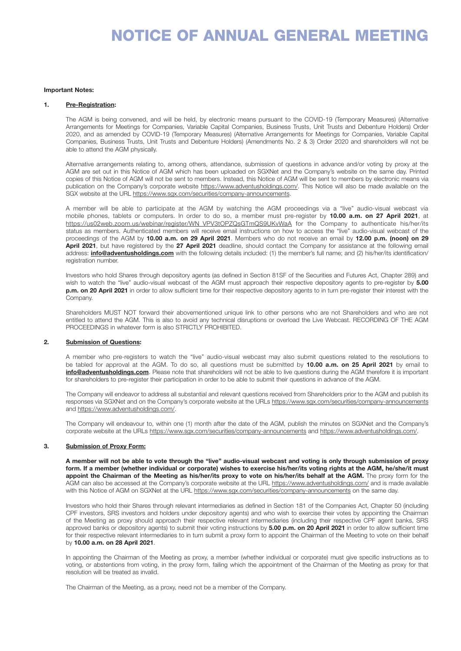#### Important Notes:

#### 1. Pre-Registration:

The AGM is being convened, and will be held, by electronic means pursuant to the COVID-19 (Temporary Measures) (Alternative Arrangements for Meetings for Companies, Variable Capital Companies, Business Trusts, Unit Trusts and Debenture Holders) Order 2020, and as amended by COVID-19 (Temporary Measures) (Alternative Arrangements for Meetings for Companies, Variable Capital Companies, Business Trusts, Unit Trusts and Debenture Holders) (Amendments No. 2 & 3) Order 2020 and shareholders will not be able to attend the AGM physically.

Alternative arrangements relating to, among others, attendance, submission of questions in advance and/or voting by proxy at the AGM are set out in this Notice of AGM which has been uploaded on SGXNet and the Company's website on the same day. Printed copies of this Notice of AGM will not be sent to members. Instead, this Notice of AGM will be sent to members by electronic means via publication on the Company's corporate website https://www.adventusholdings.com/. This Notice will also be made available on the SGX website at the URL https://www.sgx.com/securities/company-announcements.

A member will be able to participate at the AGM by watching the AGM proceedings via a "live" audio-visual webcast via mobile phones, tablets or computers. In order to do so, a member must pre-register by 10.00 a.m. on 27 April 2021, at https://us02web.zoom.us/webinar/register/WN\_VPV3tOPZQsGTmQS9UKvWaA for the Company to authenticate his/her/its status as members. Authenticated members will receive email instructions on how to access the "live" audio-visual webcast of the proceedings of the AGM by 10.00 a.m. on 29 April 2021. Members who do not receive an email by 12.00 p.m. (noon) on 29 April 2021, but have registered by the 27 April 2021 deadline, should contact the Company for assistance at the following email address: **info@adventusholdings.com** with the following details included: (1) the member's full name; and (2) his/her/its identification/ registration number.

Investors who hold Shares through depository agents (as defined in Section 81SF of the Securities and Futures Act, Chapter 289) and wish to watch the "live" audio-visual webcast of the AGM must approach their respective depository agents to pre-register by 5.00 p.m. on 20 April 2021 in order to allow sufficient time for their respective depository agents to in turn pre-register their interest with the Company.

Shareholders MUST NOT forward their abovementioned unique link to other persons who are not Shareholders and who are not entitled to attend the AGM. This is also to avoid any technical disruptions or overload the Live Webcast. RECORDING OF THE AGM PROCEEDINGS in whatever form is also STRICTLY PROHIBITED.

# 2. Submission of Questions:

A member who pre-registers to watch the "live" audio-visual webcast may also submit questions related to the resolutions to be tabled for approval at the AGM. To do so, all questions must be submitted by 10.00 a.m. on 25 April 2021 by email to info@adventusholdings.com. Please note that shareholders will not be able to live questions during the AGM therefore it is important for shareholders to pre-register their participation in order to be able to submit their questions in advance of the AGM.

The Company will endeavor to address all substantial and relevant questions received from Shareholders prior to the AGM and publish its responses via SGXNet and on the Company's corporate website at the URLs https://www.sgx.com/securities/company-announcements and https://www.adventusholdings.com/.

The Company will endeavour to, within one (1) month after the date of the AGM, publish the minutes on SGXNet and the Company's corporate website at the URLs https://www.sgx.com/securities/company-announcements and https://www.adventusholdings.com/.

### 3. Submission of Proxy Form:

A member will not be able to vote through the "live" audio-visual webcast and voting is only through submission of proxy form. If a member (whether individual or corporate) wishes to exercise his/her/its voting rights at the AGM, he/she/it must appoint the Chairman of the Meeting as his/her/its proxy to vote on his/her/its behalf at the AGM. The proxy form for the AGM can also be accessed at the Company's corporate website at the URL https://www.adventusholdings.com/ and is made available with this Notice of AGM on SGXNet at the URL https://www.sgx.com/securities/company-announcements on the same day.

Investors who hold their Shares through relevant intermediaries as defined in Section 181 of the Companies Act, Chapter 50 (including CPF investors, SRS investors and holders under depository agents) and who wish to exercise their votes by appointing the Chairman of the Meeting as proxy should approach their respective relevant intermediaries (including their respective CPF agent banks, SRS approved banks or depository agents) to submit their voting instructions by 5.00 p.m. on 20 April 2021 in order to allow sufficient time for their respective relevant intermediaries to in turn submit a proxy form to appoint the Chairman of the Meeting to vote on their behalf by 10.00 a.m. on 28 April 2021.

In appointing the Chairman of the Meeting as proxy, a member (whether individual or corporate) must give specific instructions as to voting, or abstentions from voting, in the proxy form, failing which the appointment of the Chairman of the Meeting as proxy for that resolution will be treated as invalid.

The Chairman of the Meeting, as a proxy, need not be a member of the Company.